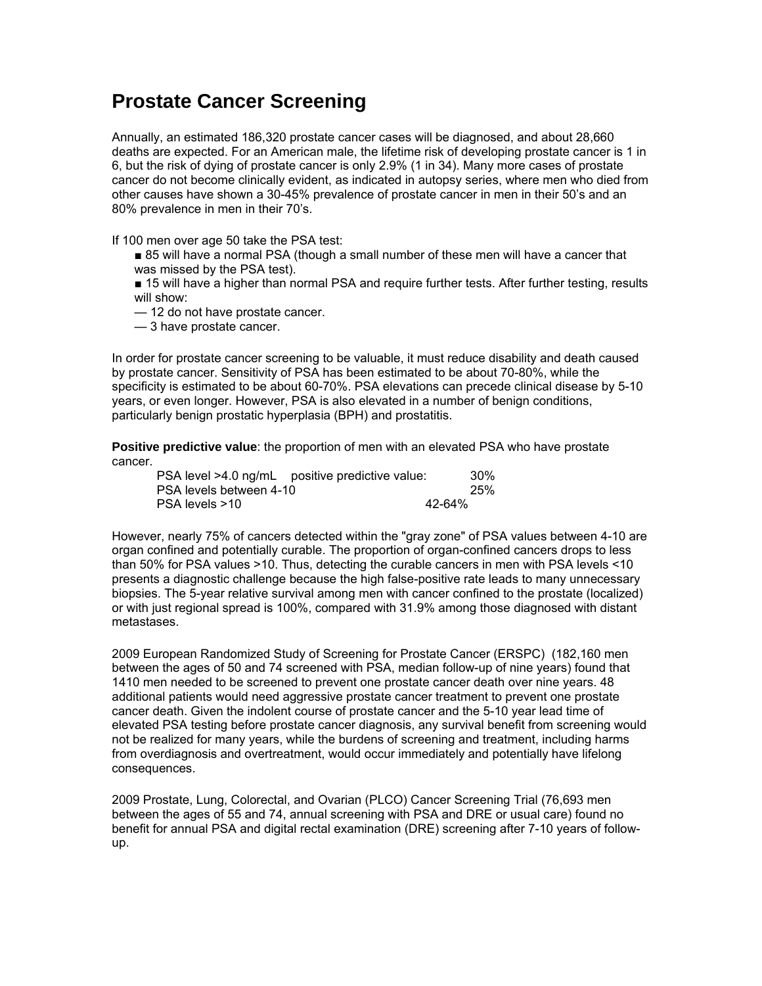## **Prostate Cancer Screening**

Annually, an estimated 186,320 prostate cancer cases will be diagnosed, and about 28,660 deaths are expected. For an American male, the lifetime risk of developing prostate cancer is 1 in 6, but the risk of dying of prostate cancer is only 2.9% (1 in 34). Many more cases of prostate cancer do not become clinically evident, as indicated in autopsy series, where men who died from other causes have shown a 30-45% prevalence of prostate cancer in men in their 50's and an 80% prevalence in men in their 70's.

If 100 men over age 50 take the PSA test:

■ 85 will have a normal PSA (though a small number of these men will have a cancer that was missed by the PSA test).

■ 15 will have a higher than normal PSA and require further tests. After further testing, results will show:

— 12 do not have prostate cancer.

— 3 have prostate cancer.

In order for prostate cancer screening to be valuable, it must reduce disability and death caused by prostate cancer. Sensitivity of PSA has been estimated to be about 70-80%, while the specificity is estimated to be about 60-70%. PSA elevations can precede clinical disease by 5-10 years, or even longer. However, PSA is also elevated in a number of benign conditions, particularly benign prostatic hyperplasia (BPH) and prostatitis.

**Positive predictive value**: the proportion of men with an elevated PSA who have prostate cancer.

| PSA level >4.0 ng/mL positive predictive value: | 30%    |
|-------------------------------------------------|--------|
| PSA levels between 4-10                         | 25%    |
| PSA levels >10                                  | 42-64% |

However, nearly 75% of cancers detected within the "gray zone" of PSA values between 4-10 are organ confined and potentially curable. The proportion of organ-confined cancers drops to less than 50% for PSA values >10. Thus, detecting the curable cancers in men with PSA levels <10 presents a diagnostic challenge because the high false-positive rate leads to many unnecessary biopsies. The 5-year relative survival among men with cancer confined to the prostate (localized) or with just regional spread is 100%, compared with 31.9% among those diagnosed with distant metastases.

2009 European Randomized Study of Screening for Prostate Cancer (ERSPC) (182,160 men between the ages of 50 and 74 screened with PSA, median follow-up of nine years) found that 1410 men needed to be screened to prevent one prostate cancer death over nine years. 48 additional patients would need aggressive prostate cancer treatment to prevent one prostate cancer death. Given the indolent course of prostate cancer and the 5-10 year lead time of elevated PSA testing before prostate cancer diagnosis, any survival benefit from screening would not be realized for many years, while the burdens of screening and treatment, including harms from overdiagnosis and overtreatment, would occur immediately and potentially have lifelong consequences.

2009 Prostate, Lung, Colorectal, and Ovarian (PLCO) Cancer Screening Trial (76,693 men between the ages of 55 and 74, annual screening with PSA and DRE or usual care) found no benefit for annual PSA and digital rectal examination (DRE) screening after 7-10 years of followup.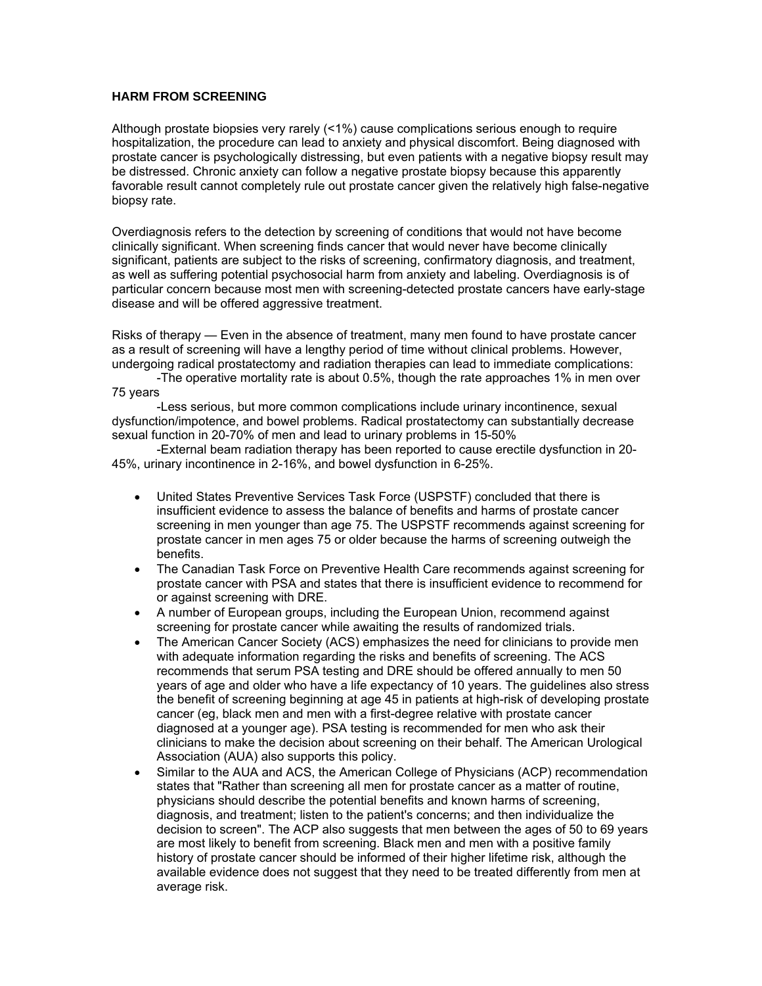## **HARM FROM SCREENING**

Although prostate biopsies very rarely (<1%) cause complications serious enough to require hospitalization, the procedure can lead to anxiety and physical discomfort. Being diagnosed with prostate cancer is psychologically distressing, but even patients with a negative biopsy result may be distressed. Chronic anxiety can follow a negative prostate biopsy because this apparently favorable result cannot completely rule out prostate cancer given the relatively high false-negative biopsy rate.

Overdiagnosis refers to the detection by screening of conditions that would not have become clinically significant. When screening finds cancer that would never have become clinically significant, patients are subject to the risks of screening, confirmatory diagnosis, and treatment, as well as suffering potential psychosocial harm from anxiety and labeling. Overdiagnosis is of particular concern because most men with screening-detected prostate cancers have early-stage disease and will be offered aggressive treatment.

Risks of therapy — Even in the absence of treatment, many men found to have prostate cancer as a result of screening will have a lengthy period of time without clinical problems. However, undergoing radical prostatectomy and radiation therapies can lead to immediate complications:

-The operative mortality rate is about 0.5%, though the rate approaches 1% in men over 75 years

-Less serious, but more common complications include urinary incontinence, sexual dysfunction/impotence, and bowel problems. Radical prostatectomy can substantially decrease sexual function in 20-70% of men and lead to urinary problems in 15-50%

-External beam radiation therapy has been reported to cause erectile dysfunction in 20- 45%, urinary incontinence in 2-16%, and bowel dysfunction in 6-25%.

- United States Preventive Services Task Force (USPSTF) concluded that there is insufficient evidence to assess the balance of benefits and harms of prostate cancer screening in men younger than age 75. The USPSTF recommends against screening for prostate cancer in men ages 75 or older because the harms of screening outweigh the benefits.
- The Canadian Task Force on Preventive Health Care recommends against screening for prostate cancer with PSA and states that there is insufficient evidence to recommend for or against screening with DRE.
- A number of European groups, including the European Union, recommend against screening for prostate cancer while awaiting the results of randomized trials.
- The American Cancer Society (ACS) emphasizes the need for clinicians to provide men with adequate information regarding the risks and benefits of screening. The ACS recommends that serum PSA testing and DRE should be offered annually to men 50 years of age and older who have a life expectancy of 10 years. The guidelines also stress the benefit of screening beginning at age 45 in patients at high-risk of developing prostate cancer (eg, black men and men with a first-degree relative with prostate cancer diagnosed at a younger age). PSA testing is recommended for men who ask their clinicians to make the decision about screening on their behalf. The American Urological Association (AUA) also supports this policy.
- Similar to the AUA and ACS, the American College of Physicians (ACP) recommendation states that "Rather than screening all men for prostate cancer as a matter of routine, physicians should describe the potential benefits and known harms of screening, diagnosis, and treatment; listen to the patient's concerns; and then individualize the decision to screen". The ACP also suggests that men between the ages of 50 to 69 years are most likely to benefit from screening. Black men and men with a positive family history of prostate cancer should be informed of their higher lifetime risk, although the available evidence does not suggest that they need to be treated differently from men at average risk.